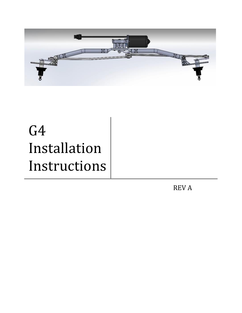

## G4 Installation Instructions

REV A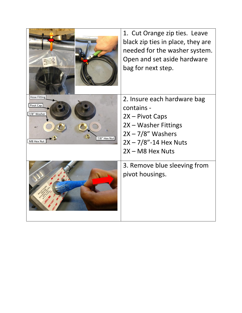|                                                                                  | 1. Cut Orange zip ties. Leave<br>black zip ties in place, they are<br>needed for the washer system.<br>Open and set aside hardware<br>bag for next step.       |
|----------------------------------------------------------------------------------|----------------------------------------------------------------------------------------------------------------------------------------------------------------|
| <b>Hose Fitting</b><br>Pivot Cap<br>7/8" Washer<br>$7/8$ " Hex Nut<br>M8 Hex Nut | 2. Insure each hardware bag<br>contains -<br>2X - Pivot Caps<br>2X - Washer Fittings<br>$2X - 7/8$ " Washers<br>$2X - 7/8$ "-14 Hex Nuts<br>$2X - MS$ Hex Nuts |
|                                                                                  | 3. Remove blue sleeving from<br>pivot housings.                                                                                                                |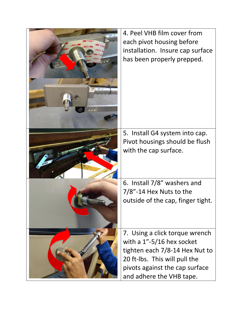| <b>SHA ME</b> | 4. Peel VHB film cover from<br>each pivot housing before<br>installation. Insure cap surface<br>has been properly prepped.                                                                       |
|---------------|--------------------------------------------------------------------------------------------------------------------------------------------------------------------------------------------------|
|               | 5. Install G4 system into cap.<br>Pivot housings should be flush<br>with the cap surface.                                                                                                        |
|               | 6. Install 7/8" washers and<br>7/8"-14 Hex Nuts to the<br>outside of the cap, finger tight.                                                                                                      |
|               | 7. Using a click torque wrench<br>with a $1" - 5/16$ hex socket<br>tighten each 7/8-14 Hex Nut to<br>20 ft-lbs. This will pull the<br>pivots against the cap surface<br>and adhere the VHB tape. |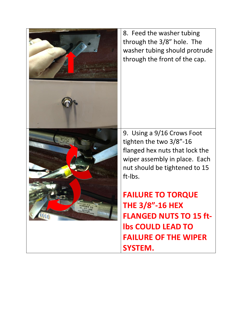